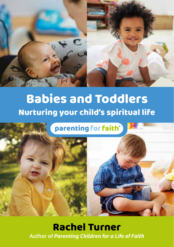

# Babies and Toddlers Nurturing your child's spiritual life

parenting for faith®

Rachel Turner **Author of** *Parenting Children for a Life of Faith*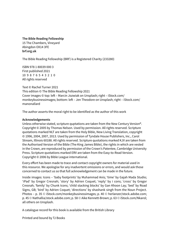**The Bible Reading Fellowship** 15 The Chambers, Vineyard Abingdon OX14 3FE **[brf.org.uk](http://www.brf.org.uk)**

The Bible Reading Fellowship (BRF) is a Registered Charity (233280)

ISBN 978 1 80039 000 3 First published 2021 10 9 8 7 6 5 4 3 2 1 0 All rights reserved

Text © Rachel Turner 2021 This edition © The Bible Reading Fellowship 2021 Cover images © top: left – Marcin Jozwiak on Unsplash; right – iStock.com/ monkeybusinessimages; bottom: left – Jen Theodore on Unsplash; right – iStock.com/ manonallard

The author asserts the moral right to be identified as the author of this work

#### **Acknowledgements**

Unless otherwise stated, scripture quptations are taken from the New Century Version®. Copyright © 2005 by Thomas Nelson. Used by permission. All rights reserved. Scripture quotations marked NLT are taken from the Holy Bible, New Living Translation, copyright © 1996, 2004, 2007, 2013. Used by permission of Tyndale House Publishers, Inc., Carol Stream, Illinois 60188. All rights reserved. Scripture quotations marked KJV are taken from the Authorised Version of the Bible (The King James Bible), the rights in which are vested in the Crown, are reproduced by permission of the Crown's Patentee, Cambridge University Press. Scripture quotations marked ERV are taken from the Easy-to-Read Version. Copyright © 2006 by Bible League international.

Every effort has been made to trace and contact copyright owners for material used in this resource. We apologise for any inadvertent omissions or errors, and would ask those concerned to contact us so that full acknowledgement can be made in the future.

Inside images: Icons – 'baby footprints' by Muhammad Anis; 'time' by Gajah Mada Studio; 'iPad' by Gregor Cresnah; 'story' by Adrien Coquet; 'reply' by i cons; 'cross' by Gregor Cresnah; 'family' by Chunk Icons; 'child stacking blocks' by Gan Khoon Lay; 'bed' by Road Signs, GB; 'bird' by Adrien Coquet; 'directions' by shashank singh from the Noun Project. Photos – p. 35 © iStock.com/monkeybusinessimages; p. 40 © herlanzer/stock.adobe.com; p. 45 © Nathallia/stock.adobe.com; p. 58 © Aike Kennett-Brown; p. 63 © iStock.com/Nkarol; all others on Unsplash.

A catalogue record for this book is available from the British Library

Printed and bound by TJ Books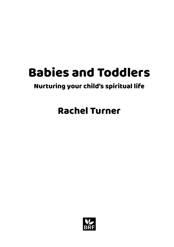# Babies and Toddlers

#### Nurturing your child's spiritual life

# Rachel Turner

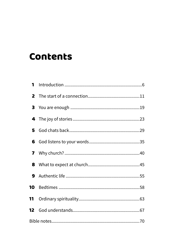# **Contents**

| 1  |  |  |
|----|--|--|
|    |  |  |
|    |  |  |
|    |  |  |
|    |  |  |
|    |  |  |
|    |  |  |
|    |  |  |
|    |  |  |
|    |  |  |
| 11 |  |  |
|    |  |  |
|    |  |  |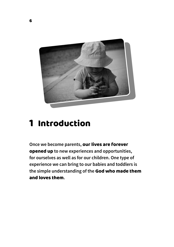

# 1 Introduction

**Once we become parents,** our lives are forever opened up **to new experiences and opportunities, for ourselves as well as for our children. One type of experience we can bring to our babies and toddlers is the simple understanding of the** God who made them and loves them**.**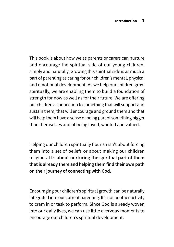This book is about how we as parents or carers can nurture and encourage the spiritual side of our young children, simply and naturally. Growing this spiritual side is as much a part of parenting as caring for our children's mental, physical and emotional development. As we help our children grow spiritually, we are enabling them to build a foundation of strength for now as well as for their future. We are offering our children a connection to something that will support and sustain them, that will encourage and ground them and that will help them have a sense of being part of something bigger than themselves and of being loved, wanted and valued.

Helping our children spiritually flourish isn't about forcing them into a set of beliefs or about making our children religious. **It's about nurturing the spiritual part of them that is already there and helping them find their own path on their journey of connecting with God.**

Encouraging our children's spiritual growth can be naturally integrated into our current parenting. It's not another activity to cram in or task to perform. Since God is already woven into our daily lives, we can use little everyday moments to encourage our children's spiritual development.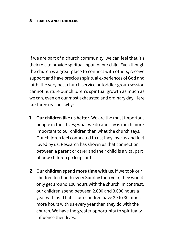If we are part of a church community, we can feel that it's their role to provide spiritual input for our child. Even though the church *is* a great place to connect with others, receive support and have precious spiritual experiences of God and faith, the very best church service or toddler group session cannot nurture our children's spiritual growth as much as we can, even on our most exhausted and ordinary day. Here are three reasons why:

- 1 **Our children like us better**. We are the most important people in their lives; what we do and say is much more important to our children than what the church says. Our children feel connected to us; they love us and feel loved by us. Research has shown us that connection between a parent or carer and their child is a vital part of how children pick up faith.
- 2 **Our children spend more time with us**. If we took our children to church every Sunday for a year, they would only get around 100 hours with the church. In contrast, our children spend between 2,000 and 3,000 hours a year with us. That is, our children have 20 to 30 times more hours with us every year than they do with the church. We have the greater opportunity to spiritually influence their lives.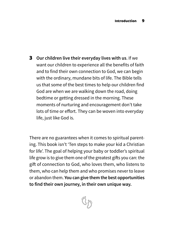3 **Our children live their everyday lives with us**. If we want our children to experience all the benefits of faith and to find their own connection to God, we can begin with the ordinary, mundane bits of life. The Bible tells us that some of the best times to help our children find God are when we are walking down the road, doing bedtime or getting dressed in the morning. These moments of nurturing and encouragement don't take lots of time or effort. They can be woven into everyday life, just like God is.

There are no guarantees when it comes to spiritual parenting. This book isn't 'Ten steps to make your kid a Christian for life'. The goal of helping your baby or toddler's spiritual life grow is to give them one of the greatest gifts you can: the gift of connection to God, who loves them, who listens to them, who can help them and who promises never to leave or abandon them. **You can give them the best opportunities to find their own journey, in their own unique way.** 

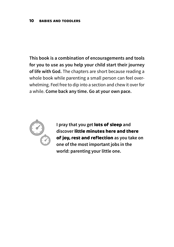**This book is a combination of encouragements and tools for you to use as you help your child start their journey of life with God.** The chapters are short because reading a whole book while parenting a small person can feel overwhelming. Feel free to dip into a section and chew it over for a while. **Come back any time. Go at your own pace.** 



**I pray that you get** lots of sleep **and discover** little minutes here and there of joy, rest and reflection **as you take on one of the most important jobs in the world: parenting your little one.**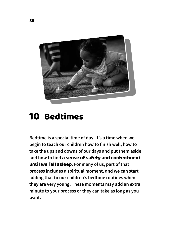

## 10 Bedtimes

**Bedtime is a special time of day. It's a time when we begin to teach our children how to finish well, how to take the ups and downs of our days and put them aside and how to find** a sense of safety and contentment until we fall asleep**. For many of us, part of that process includes a spiritual moment, and we can start adding that to our children's bedtime routines when they are very young. These moments may add an extra minute to your process or they can take as long as you want.**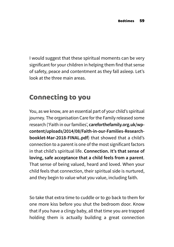I would suggest that these spiritual moments can be very significant for your children in helping them find that sense of safety, peace and contentment as they fall asleep. Let's look at the three main areas.

### Connecting to you

You, as we know, are an essential part of your child's spiritual journey. The organisation Care for the Family released some research ('Faith in our families', **careforthefamily.org.uk/wpcontent/uploads/2014/08/Faith-in-our-Families-Researchbooklet-Mar-2018-FINAL.pdf**) that showed that a child's connection to a parent is one of the most significant factors in that child's spiritual life. **Connection. It's that sense of loving, safe acceptance that a child feels from a parent**. That sense of being valued, heard and loved. When your child feels that connection, their spiritual side is nurtured, and they begin to value what you value, including faith.

So take that extra time to cuddle or to go back to them for one more kiss before you shut the bedroom door. Know that if you have a clingy baby, all that time you are trapped holding them is actually building a great connection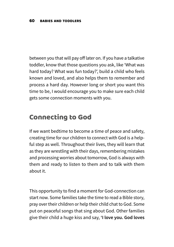between you that will pay off later on. If you have a talkative toddler, know that those questions you ask, like 'What was hard today? What was fun today?', build a child who feels known and loved, and also helps them to remember and process a hard day. However long or short you want this time to be, I would encourage you to make sure each child gets some connection moments with you.

#### Connecting to God

If we want bedtime to become a time of peace and safety, creating time for our children to connect with God is a helpful step as well. Throughout their lives, they will learn that as they are wrestling with their days, remembering mistakes and processing worries about tomorrow, God is always with them and ready to listen to them and to talk with them about it.

This opportunity to find a moment for God-connection can start now. Some families take the time to read a Bible story, pray over their children or help their child chat to God. Some put on peaceful songs that sing about God. Other families give their child a huge kiss and say, **'I love you. God loves**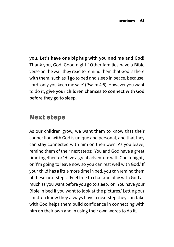**you. Let's have one big hug with you and me and God!**  Thank you, God. Good night!' Other families have a Bible verse on the wall they read to remind them that God is there with them, such as 'I go to bed and sleep in peace, because, Lord, only you keep me safe' (Psalm 4:8). However you want to do it, **give your children chances to connect with God before they go to sleep**.

#### Next steps

As our children grow, we want them to know that their connection with God is unique and personal, and that they can stay connected with him on their own. As you leave, remind them of their next steps: 'You and God have a great time together,' or 'Have a great adventure with God tonight,' or 'I'm going to leave now so you can rest well with God.' If your child has a little more time in bed, you can remind them of these next steps: 'Feel free to chat and play with God as much as you want before you go to sleep,' or ' You have your Bible in bed if you want to look at the pictures.' Letting our children know they always have a next step they can take with God helps them build confidence in connecting with him on their own and in using their own words to do it.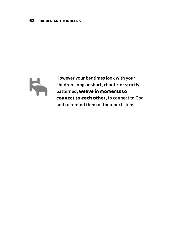

**However your bedtimes look with your children, long or short, chaotic or strictly patterned,** weave in moments to connect to each other**, to connect to God and to remind them of their next steps.**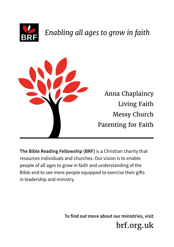

### *Enabling all ages to grow in faith*



[Anna Chaplaincy](https://www.annachaplaincy.org.uk) [Living Faith](https://www.brf.org.uk/what-we-do/living-faith/) [Messy Church](http://www.messychurch.org.uk) [Parenting for Faith](https://www.parentingforfaith.org)

**[The Bible Reading Fellowship](https://www.brf.org.uk) (BRF)** is a Christian charity that resources individuals and churches. Our vision is to enable people of all ages to grow in faith and understanding of the Bible and to see more people equipped to exercise their gifts in leadership and ministry.

> **To find out more about our ministries, visit**  [brf.org.uk](http://www.biblereadingnotes.org.uk)